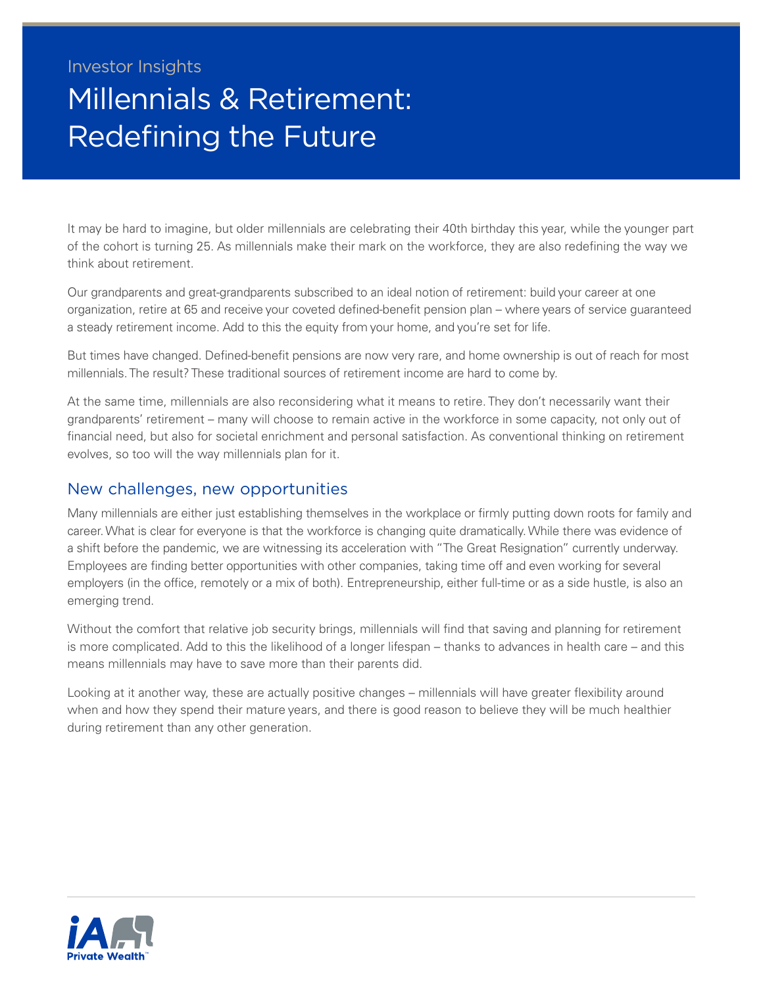## Investor Insights Millennials & Retirement: Redefining the Future

It may be hard to imagine, but older millennials are celebrating their 40th birthday this year, while the younger part of the cohort is turning 25. As millennials make their mark on the workforce, they are also redefining the way we think about retirement.

Our grandparents and great-grandparents subscribed to an ideal notion of retirement: build your career at one organization, retire at 65 and receive your coveted defined-benefit pension plan – where years of service guaranteed a steady retirement income. Add to this the equity from your home, and you're set for life.

But times have changed. Defined-benefit pensions are now very rare, and home ownership is out of reach for most millennials. The result? These traditional sources of retirement income are hard to come by.

At the same time, millennials are also reconsidering what it means to retire. They don't necessarily want their grandparents' retirement – many will choose to remain active in the workforce in some capacity, not only out of financial need, but also for societal enrichment and personal satisfaction. As conventional thinking on retirement evolves, so too will the way millennials plan for it.

## New challenges, new opportunities

Many millennials are either just establishing themselves in the workplace or firmly putting down roots for family and career. What is clear for everyone is that the workforce is changing quite dramatically. While there was evidence of a shift before the pandemic, we are witnessing its acceleration with "The Great Resignation" currently underway. Employees are finding better opportunities with other companies, taking time off and even working for several employers (in the office, remotely or a mix of both). Entrepreneurship, either full-time or as a side hustle, is also an emerging trend.

Without the comfort that relative job security brings, millennials will find that saving and planning for retirement is more complicated. Add to this the likelihood of a longer lifespan – thanks to advances in health care – and this means millennials may have to save more than their parents did.

Looking at it another way, these are actually positive changes – millennials will have greater flexibility around when and how they spend their mature years, and there is good reason to believe they will be much healthier during retirement than any other generation.